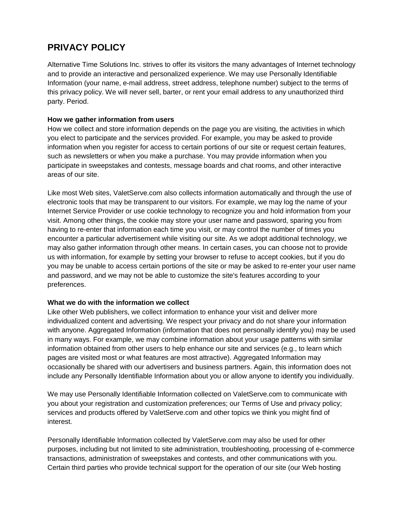# **PRIVACY POLICY**

Alternative Time Solutions Inc. strives to offer its visitors the many advantages of Internet technology and to provide an interactive and personalized experience. We may use Personally Identifiable Information (your name, e-mail address, street address, telephone number) subject to the terms of this privacy policy. We will never sell, barter, or rent your email address to any unauthorized third party. Period.

## **How we gather information from users**

How we collect and store information depends on the page you are visiting, the activities in which you elect to participate and the services provided. For example, you may be asked to provide information when you register for access to certain portions of our site or request certain features, such as newsletters or when you make a purchase. You may provide information when you participate in sweepstakes and contests, message boards and chat rooms, and other interactive areas of our site.

Like most Web sites, ValetServe.com also collects information automatically and through the use of electronic tools that may be transparent to our visitors. For example, we may log the name of your Internet Service Provider or use cookie technology to recognize you and hold information from your visit. Among other things, the cookie may store your user name and password, sparing you from having to re-enter that information each time you visit, or may control the number of times you encounter a particular advertisement while visiting our site. As we adopt additional technology, we may also gather information through other means. In certain cases, you can choose not to provide us with information, for example by setting your browser to refuse to accept cookies, but if you do you may be unable to access certain portions of the site or may be asked to re-enter your user name and password, and we may not be able to customize the site's features according to your preferences.

#### **What we do with the information we collect**

Like other Web publishers, we collect information to enhance your visit and deliver more individualized content and advertising. We respect your privacy and do not share your information with anyone. Aggregated Information (information that does not personally identify you) may be used in many ways. For example, we may combine information about your usage patterns with similar information obtained from other users to help enhance our site and services (e.g., to learn which pages are visited most or what features are most attractive). Aggregated Information may occasionally be shared with our advertisers and business partners. Again, this information does not include any Personally Identifiable Information about you or allow anyone to identify you individually.

We may use Personally Identifiable Information collected on ValetServe.com to communicate with you about your registration and customization preferences; our Terms of Use and privacy policy; services and products offered by ValetServe.com and other topics we think you might find of interest.

Personally Identifiable Information collected by ValetServe.com may also be used for other purposes, including but not limited to site administration, troubleshooting, processing of e-commerce transactions, administration of sweepstakes and contests, and other communications with you. Certain third parties who provide technical support for the operation of our site (our Web hosting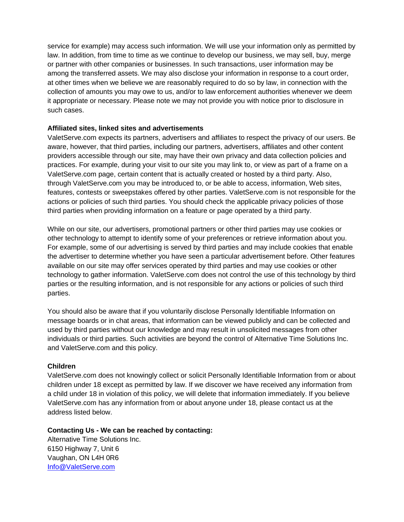service for example) may access such information. We will use your information only as permitted by law. In addition, from time to time as we continue to develop our business, we may sell, buy, merge or partner with other companies or businesses. In such transactions, user information may be among the transferred assets. We may also disclose your information in response to a court order, at other times when we believe we are reasonably required to do so by law, in connection with the collection of amounts you may owe to us, and/or to law enforcement authorities whenever we deem it appropriate or necessary. Please note we may not provide you with notice prior to disclosure in such cases.

## **Affiliated sites, linked sites and advertisements**

ValetServe.com expects its partners, advertisers and affiliates to respect the privacy of our users. Be aware, however, that third parties, including our partners, advertisers, affiliates and other content providers accessible through our site, may have their own privacy and data collection policies and practices. For example, during your visit to our site you may link to, or view as part of a frame on a ValetServe.com page, certain content that is actually created or hosted by a third party. Also, through ValetServe.com you may be introduced to, or be able to access, information, Web sites, features, contests or sweepstakes offered by other parties. ValetServe.com is not responsible for the actions or policies of such third parties. You should check the applicable privacy policies of those third parties when providing information on a feature or page operated by a third party.

While on our site, our advertisers, promotional partners or other third parties may use cookies or other technology to attempt to identify some of your preferences or retrieve information about you. For example, some of our advertising is served by third parties and may include cookies that enable the advertiser to determine whether you have seen a particular advertisement before. Other features available on our site may offer services operated by third parties and may use cookies or other technology to gather information. ValetServe.com does not control the use of this technology by third parties or the resulting information, and is not responsible for any actions or policies of such third parties.

You should also be aware that if you voluntarily disclose Personally Identifiable Information on message boards or in chat areas, that information can be viewed publicly and can be collected and used by third parties without our knowledge and may result in unsolicited messages from other individuals or third parties. Such activities are beyond the control of Alternative Time Solutions Inc. and ValetServe.com and this policy.

#### **Children**

ValetServe.com does not knowingly collect or solicit Personally Identifiable Information from or about children under 18 except as permitted by law. If we discover we have received any information from a child under 18 in violation of this policy, we will delete that information immediately. If you believe ValetServe.com has any information from or about anyone under 18, please contact us at the address listed below.

# **Contacting Us - We can be reached by contacting:**

Alternative Time Solutions Inc. 6150 Highway 7, Unit 6 Vaughan, ON L4H 0R6 [Info@ValetServe.com](mailto:Info@ValetServe.com)